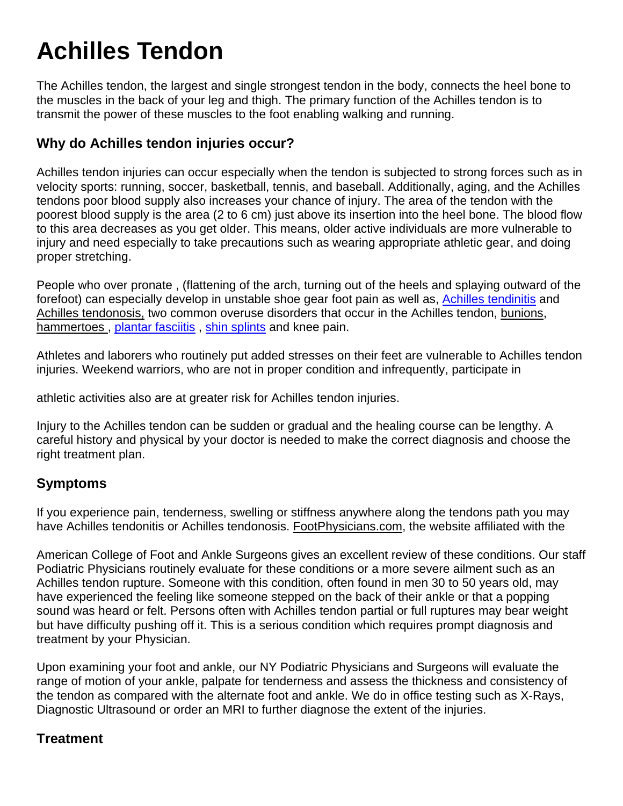## **Achilles Tendon**

The Achilles tendon, the largest and single strongest tendon in the body, connects the heel bone to the muscles in the back of your leg and thigh. The primary function of the Achilles tendon is to transmit the power of these muscles to the foot enabling walking and running.

## **Why do Achilles tendon injuries occur?**

Achilles tendon injuries can occur especially when the tendon is subjected to strong forces such as in velocity sports: running, soccer, basketball, tennis, and baseball. Additionally, aging, and the Achilles tendons poor blood supply also increases your chance of injury. The area of the tendon with the poorest blood supply is the area (2 to 6 cm) just above its insertion into the heel bone. The blood flow to this area decreases as you get older. This means, older active individuals are more vulnerable to injury and need especially to take precautions such as wearing appropriate athletic gear, and doing proper stretching.

People who over pronate , (flattening of the arch, turning out of the heels and splaying outward of the forefoot) can especially develop in unstable shoe gear foot pain as well as, [Achilles tendinitis](http://en.wikipedia.org/wiki/Achilles_tendinitis) and Achilles tendonosis, two common overuse disorders that occur in the Achilles tendon, bunions, hammertoes, plantar fasciitis, [shin splints](http://en.wikipedia.org/wiki/Shin_splints) and knee pain.

Athletes and laborers who routinely put added stresses on their feet are vulnerable to Achilles tendon injuries. Weekend warriors, who are not in proper condition and infrequently, participate in

athletic activities also are at greater risk for Achilles tendon injuries.

Injury to the Achilles tendon can be sudden or gradual and the healing course can be lengthy. A careful history and physical by your doctor is needed to make the correct diagnosis and choose the right treatment plan.

## **Symptoms**

If you experience pain, tenderness, swelling or stiffness anywhere along the tendons path you may have Achilles tendonitis or Achilles tendonosis. FootPhysicians.com, the website affiliated with the

American College of Foot and Ankle Surgeons gives an excellent review of these conditions. Our staff Podiatric Physicians routinely evaluate for these conditions or a more severe ailment such as an Achilles tendon rupture. Someone with this condition, often found in men 30 to 50 years old, may have experienced the feeling like someone stepped on the back of their ankle or that a popping sound was heard or felt. Persons often with Achilles tendon partial or full ruptures may bear weight but have difficulty pushing off it. This is a serious condition which requires prompt diagnosis and treatment by your Physician.

Upon examining your foot and ankle, our NY Podiatric Physicians and Surgeons will evaluate the range of motion of your ankle, palpate for tenderness and assess the thickness and consistency of the tendon as compared with the alternate foot and ankle. We do in office testing such as X-Rays, Diagnostic Ultrasound or order an MRI to further diagnose the extent of the injuries.

## **Treatment**